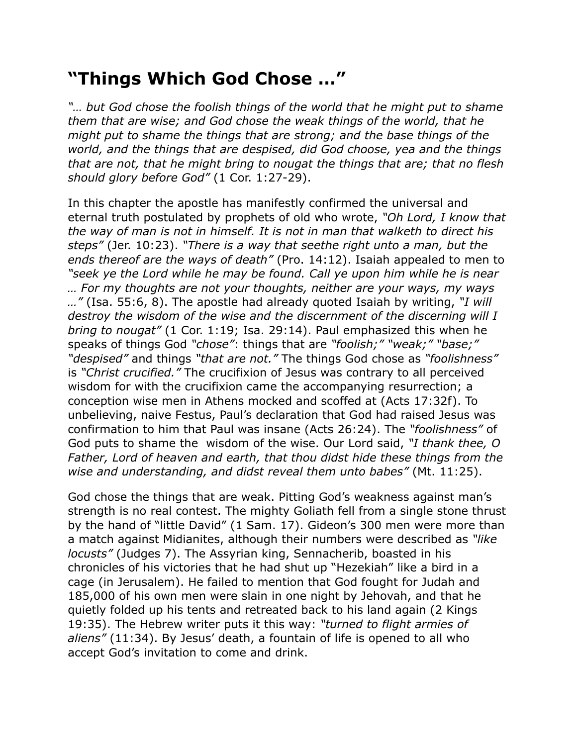## **"Things Which God Chose …"**

*"… but God chose the foolish things of the world that he might put to shame them that are wise; and God chose the weak things of the world, that he might put to shame the things that are strong; and the base things of the world, and the things that are despised, did God choose, yea and the things that are not, that he might bring to nougat the things that are; that no flesh should glory before God"* (1 Cor. 1:27-29).

In this chapter the apostle has manifestly confirmed the universal and eternal truth postulated by prophets of old who wrote, *"Oh Lord, I know that the way of man is not in himself. It is not in man that walketh to direct his steps"* (Jer. 10:23). *"There is a way that seethe right unto a man, but the ends thereof are the ways of death"* (Pro. 14:12). Isaiah appealed to men to "seek ye the Lord while he may be found. Call ye upon him while he is near *… For my thoughts are not your thoughts, neither are your ways, my ways …"* (Isa. 55:6, 8). The apostle had already quoted Isaiah by writing, *"I will destroy the wisdom of the wise and the discernment of the discerning will I bring to nougat"* (1 Cor. 1:19; Isa. 29:14). Paul emphasized this when he speaks of things God *"chose"*: things that are *"foolish;" "weak;" "base;" "despised"* and things *"that are not."* The things God chose as *"foolishness"* is *"Christ crucified."* The crucifixion of Jesus was contrary to all perceived wisdom for with the crucifixion came the accompanying resurrection; a conception wise men in Athens mocked and scoffed at (Acts 17:32f). To unbelieving, naive Festus, Paul's declaration that God had raised Jesus was confirmation to him that Paul was insane (Acts 26:24). The *"foolishness"* of God puts to shame the wisdom of the wise. Our Lord said, *"I thank thee, O Father, Lord of heaven and earth, that thou didst hide these things from the wise and understanding, and didst reveal them unto babes"* (Mt. 11:25).

God chose the things that are weak. Pitting God's weakness against man's strength is no real contest. The mighty Goliath fell from a single stone thrust by the hand of "little David" (1 Sam. 17). Gideon's 300 men were more than a match against Midianites, although their numbers were described as *"like locusts"* (Judges 7). The Assyrian king, Sennacherib, boasted in his chronicles of his victories that he had shut up "Hezekiah" like a bird in a cage (in Jerusalem). He failed to mention that God fought for Judah and 185,000 of his own men were slain in one night by Jehovah, and that he quietly folded up his tents and retreated back to his land again (2 Kings 19:35). The Hebrew writer puts it this way: *"turned to flight armies of aliens"* (11:34). By Jesus' death, a fountain of life is opened to all who accept God's invitation to come and drink.